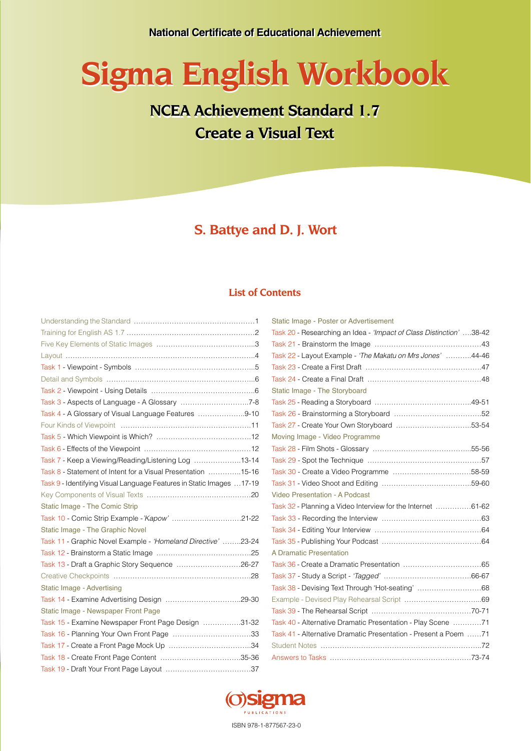# **Sigma English Workbook Sigma English Workbook**

# **NCEA Achievement Standard 1.7 NCEA Achievement Standard 1.7 Create a Visual Text Create a Visual Text**

**S. Battye and D. J. Wort**

### **List of Contents**

| Task 4 - A Glossary of Visual Language Features 9-10                 |
|----------------------------------------------------------------------|
|                                                                      |
|                                                                      |
|                                                                      |
| Task 7 - Keep a Viewing/Reading/Listening Log 13-14                  |
| Task 8 - Statement of Intent for a Visual Presentation 15-16         |
| Task 9 - Identifying Visual Language Features in Static Images 17-19 |
|                                                                      |
| Static Image - The Comic Strip                                       |
| Task 10 - Comic Strip Example -'Kapow' 21-22                         |
| Static Image - The Graphic Novel                                     |
| Task 11 - Graphic Novel Example - 'Homeland Directive' 23-24         |
|                                                                      |
| Task 13 - Draft a Graphic Story Sequence 26-27                       |
|                                                                      |
| Static Image - Advertising                                           |
|                                                                      |
| Static Image - Newspaper Front Page                                  |
| Task 15 - Examine Newspaper Front Page Design 31-32                  |
| Task 16 - Planning Your Own Front Page 33                            |
|                                                                      |
|                                                                      |
|                                                                      |

| Static Image - Poster or Advertisement                              |  |
|---------------------------------------------------------------------|--|
| Task 20 - Researching an Idea - 'Impact of Class Distinction' 38-42 |  |
|                                                                     |  |
| Task 22 - Layout Example - 'The Makatu on Mrs Jones' 44-46          |  |
|                                                                     |  |
|                                                                     |  |
| Static Image - The Storyboard                                       |  |
|                                                                     |  |
|                                                                     |  |
|                                                                     |  |
| Moving Image - Video Programme                                      |  |
|                                                                     |  |
|                                                                     |  |
|                                                                     |  |
|                                                                     |  |
| Video Presentation - A Podcast                                      |  |
| Task 32 - Planning a Video Interview for the Internet 61-62         |  |
|                                                                     |  |
|                                                                     |  |
|                                                                     |  |
| A Dramatic Presentation                                             |  |
|                                                                     |  |
|                                                                     |  |
| Task 38 - Devising Text Through 'Hot-seating' 68                    |  |
|                                                                     |  |
|                                                                     |  |
| Task 40 - Alternative Dramatic Presentation - Play Scene 71         |  |
| Task 41 - Alternative Dramatic Presentation - Present a Poem 71     |  |
|                                                                     |  |
|                                                                     |  |

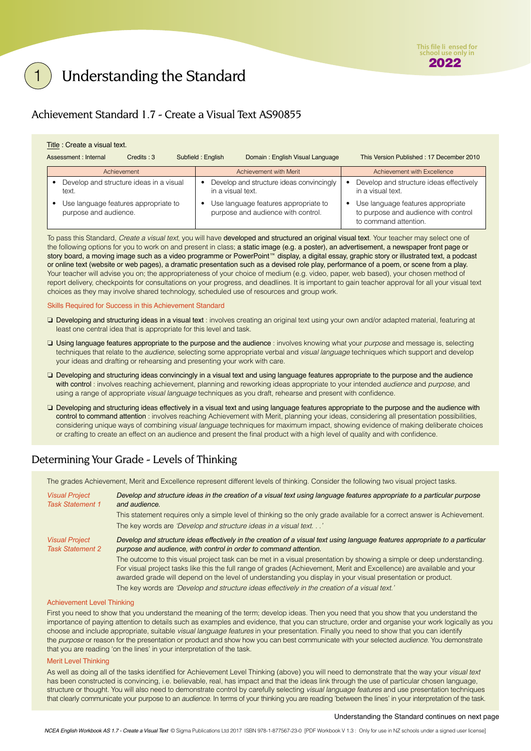# <span id="page-1-0"></span>Understanding the Standard

### Achievement Standard 1.7 - Create a Visual Text AS90855

### Title : Create a visual text.

| Assessment : Internal<br>$C$ redits: $3$                      |  | Domain: English Visual Language<br>Subfield: English                       |                                          | This Version Published: 17 December 2010                     |                                                                                                    |                             |
|---------------------------------------------------------------|--|----------------------------------------------------------------------------|------------------------------------------|--------------------------------------------------------------|----------------------------------------------------------------------------------------------------|-----------------------------|
| Achievement                                                   |  |                                                                            |                                          | Achievement with Merit                                       |                                                                                                    | Achievement with Excellence |
| Develop and structure ideas in a visual<br>text.              |  | in a visual text.                                                          | Develop and structure ideas convincingly | Develop and structure ideas effectively<br>in a visual text. |                                                                                                    |                             |
| Use language features appropriate to<br>purpose and audience. |  | Use language features appropriate to<br>purpose and audience with control. |                                          |                                                              | Use language features appropriate<br>to purpose and audience with control<br>to command attention. |                             |

To pass this Standard, *Create a visual text*, you will have developed and structured an original visual text. Your teacher may select one of the following options for you to work on and present in class; a static image (e.g. a poster), an advertisement, a newspaper front page or story board, a moving image such as a video programme or PowerPoint™ display, a digital essay, graphic story or illustrated text, a podcast or online text (website or web pages), a dramatic presentation such as a devised role play, performance of a poem, or scene from a play. Your teacher will advise you on; the appropriateness of your choice of medium (e.g. video, paper, web based), your chosen method of report delivery, checkpoints for consultations on your progress, and deadlines. It is important to gain teacher approval for all your visual text choices as they may involve shared technology, scheduled use of resources and group work.

### Skills Required for Success in this Achievement Standard

- ❏ Developing and structuring ideas in a visual text : involves creating an original text using your own and/or adapted material, featuring at least one central idea that is appropriate for this level and task.
- ❏ Using language features appropriate to the purpose and the audience : involves knowing what your *purpose* and message is, selecting techniques that relate to the *audience*, selecting some appropriate verbal and *visual language* techniques which support and develop your ideas and drafting or rehearsing and presenting your work with care.
- ❏ Developing and structuring ideas convincingly in a visual text and using language features appropriate to the purpose and the audience with control : involves reaching achievement, planning and reworking ideas appropriate to your intended *audience* and *purpose*, and using a range of appropriate *visual language* techniques as you draft, rehearse and present with confidence.
- ❏ Developing and structuring ideas effectively in a visual text and using language features appropriate to the purpose and the audience with control to command attention : involves reaching Achievement with Merit, planning your ideas, considering all presentation possibilities, considering unique ways of combining *visual language* techniques for maximum impact, showing evidence of making deliberate choices or crafting to create an effect on an audience and present the final product with a high level of quality and with confidence.

### Determining Your Grade - Levels of Thinking

The grades Achievement, Merit and Excellence represent different levels of thinking. Consider the following two visual project tasks.

| <b>Visual Project</b><br><b>Task Statement 1</b> | Develop and structure ideas in the creation of a visual text using language features appropriate to a particular purpose<br>and audience.                                                                                                                                                                                                                       |
|--------------------------------------------------|-----------------------------------------------------------------------------------------------------------------------------------------------------------------------------------------------------------------------------------------------------------------------------------------------------------------------------------------------------------------|
|                                                  | This statement requires only a simple level of thinking so the only grade available for a correct answer is Achievement.                                                                                                                                                                                                                                        |
|                                                  | The key words are 'Develop and structure ideas in a visual text'                                                                                                                                                                                                                                                                                                |
| <b>Visual Project</b><br><b>Task Statement 2</b> | Develop and structure ideas effectively in the creation of a visual text using language features appropriate to a particular<br>purpose and audience, with control in order to command attention.                                                                                                                                                               |
|                                                  | The outcome to this visual project task can be met in a visual presentation by showing a simple or deep understanding.<br>For visual project tasks like this the full range of grades (Achievement, Merit and Excellence) are available and your<br>awarded grade will depend on the level of understanding you display in your visual presentation or product. |
|                                                  | The key words are 'Develop and structure ideas effectively in the creation of a visual text.'                                                                                                                                                                                                                                                                   |

### Achievement Level Thinking

First you need to show that you understand the meaning of the term; develop ideas. Then you need that you show that you understand the importance of paying attention to details such as examples and evidence, that you can structure, order and organise your work logically as you choose and include appropriate, suitable *visual language features* in your presentation. Finally you need to show that you can identify the *purpose* or reason for the presentation or product and show how you can best communicate with your selected *audience*. You demonstrate that you are reading 'on the lines' in your interpretation of the task.

### Merit Level Thinking

As well as doing all of the tasks identified for Achievement Level Thinking (above) you will need to demonstrate that the way your *visual text* has been constructed is convincing, i.e. believable, real, has impact and that the ideas link through the use of particular chosen language, structure or thought. You will also need to demonstrate control by carefully selecting *visual language features* and use presentation techniques that clearly communicate your purpose to an *audience*. In terms of your thinking you are reading 'between the lines' in your interpretation of the task.

### Understanding the Standard continues on next page

*NCEA English Workbook AS 1.7 - Create a Visual Text* © Sigma Publications Ltd 2017 ISBN 978-1-877567-23-0 [PDF Workbook V 1.3 : Only for use in NZ schools under a signed user license]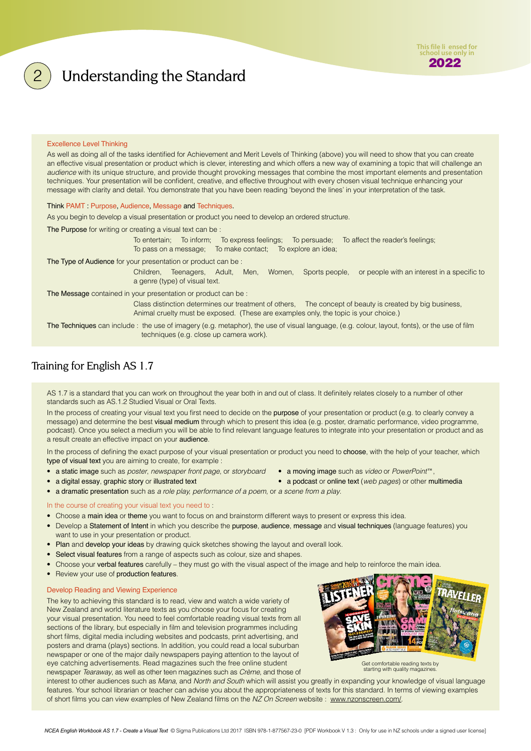### • a digital essay, graphic story or illustrated text **•** a podcast or online text (*web pages*) or other multimedia

### In the course of creating your visual text you need to :

- Choose a main idea or theme you want to focus on and brainstorm different ways to present or express this idea.
- Develop a Statement of Intent in which you describe the purpose, audience, message and visual techniques (language features) you want to use in your presentation or product.
- Plan and develop your ideas by drawing quick sketches showing the layout and overall look.
- Select visual features from a range of aspects such as colour, size and shapes.
- Choose your verbal features carefully they must go with the visual aspect of the image and help to reinforce the main idea.
- Review your use of production features.

### Develop Reading and Viewing Experience

The key to achieving this standard is to read, view and watch a wide variety of New Zealand and world literature texts as you choose your focus for creating your visual presentation. You need to feel comfortable reading visual texts from all sections of the library, but especially in film and television programmes including short films, digital media including websites and podcasts, print advertising, and posters and drama (plays) sections. In addition, you could read a local suburban newspaper or one of the major daily newspapers paying attention to the layout of eye catching advertisements. Read magazines such the free online student

newspaper *Tearaway*, as well as other teen magazines such as *Crème*, and those of

interest to other audiences such as *Mana*, and *North and South* which will assist you greatly in expanding your knowledge of visual language features. Your school librarian or teacher can advise you about the appropriateness of texts for this standard. In terms of viewing examples of short films you can view examples of New Zealand films on the *NZ On Screen* website : www.nzonscreen.com/.

### Excellence Level Thinking

As well as doing all of the tasks identified for Achievement and Merit Levels of Thinking (above) you will need to show that you can create an effective visual presentation or product which is clever, interesting and which offers a new way of examining a topic that will challenge an *audience* with its unique structure, and provide thought provoking messages that combine the most important elements and presentation techniques. Your presentation will be confident, creative, and effective throughout with every chosen visual technique enhancing your message with clarity and detail. You demonstrate that you have been reading 'beyond the lines' in your interpretation of the task.

### Think PAMT : Purpose, Audience, Message and Techniques.

As you begin to develop a visual presentation or product you need to develop an ordered structure.

The Purpose for writing or creating a visual text can be :

To entertain; To inform; To express feelings; To persuade; To affect the reader's feelings; To pass on a message; To make contact; To explore an idea;

The Type of Audience for your presentation or product can be :

Children, Teenagers, Adult, Men, Women, Sports people, or people with an interest in a specific to a genre (type) of visual text.

The Message contained in your presentation or product can be :

Class distinction determines our treatment of others, The concept of beauty is created by big business, Animal cruelty must be exposed. (These are examples only, the topic is your choice.)

The Techniques can include : the use of imagery (e.g. metaphor), the use of visual language, (e.g. colour, layout, fonts), or the use of film techniques (e.g. close up camera work).

### Training for English AS 1.7

AS 1.7 is a standard that you can work on throughout the year both in and out of class. It definitely relates closely to a number of other standards such as AS.1.2 Studied Visual or Oral Texts.

In the process of creating your visual text you first need to decide on the purpose of your presentation or product (e.g. to clearly convey a message) and determine the best visual medium through which to present this idea (e.g. poster, dramatic performance, video programme, podcast). Once you select a medium you will be able to find relevant language features to integrate into your presentation or product and as a result create an effective impact on your audience.

In the process of defining the exact purpose of your visual presentation or product you need to choose, with the help of your teacher, which type of visual text you are aiming to create, for example :

- a static image such as *poster*, *newspaper front page*, or *storyboard* a moving image such as *video* or *PowerPoint*<sup>16</sup>,
- a dramatic presentation such as *a role play, performance of a poem*, or *a scene from a play*.

- 
- 
- 
- 
- 





<span id="page-2-0"></span>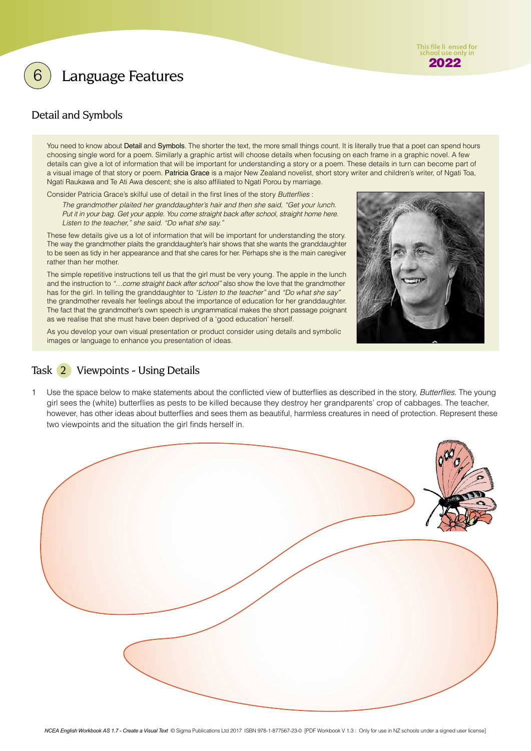<span id="page-3-0"></span>

### Detail and Symbols

You need to know about Detail and Symbols. The shorter the text, the more small things count. It is literally true that a poet can spend hours choosing single word for a poem. Similarly a graphic artist will choose details when focusing on each frame in a graphic novel. A few details can give a lot of information that will be important for understanding a story or a poem. These details in turn can become part of a visual image of that story or poem. Patricia Grace is a major New Zealand novelist, short story writer and children's writer, of Ngati Toa, Ngati Raukawa and Te Ati Awa descent; she is also affiliated to Ngati Porou by marriage.

Consider Patricia Grace's skilful use of detail in the first lines of the story *Butterflies* :

*The grandmother plaited her granddaughter's hair and then she said, "Get your lunch. Put it in your bag. Get your apple. You come straight back after school, straight home here. Listen to the teacher," she said. "Do what she say."* 

These few details give us a lot of information that will be important for understanding the story. The way the grandmother plaits the granddaughter's hair shows that she wants the granddaughter to be seen as tidy in her appearance and that she cares for her. Perhaps she is the main caregiver rather than her mother.

The simple repetitive instructions tell us that the girl must be very young. The apple in the lunch and the instruction to *"…come straight back after school"* also show the love that the grandmother has for the girl. In telling the granddaughter to *"Listen to the teacher"* and *"Do what she say"* the grandmother reveals her feelings about the importance of education for her granddaughter. The fact that the grandmother's own speech is ungrammatical makes the short passage poignant as we realise that she must have been deprived of a 'good education' herself.

As you develop your own visual presentation or product consider using details and symbolic images or language to enhance you presentation of ideas.

### Task 2 Viewpoints - Using Details

1 Use the space below to make statements about the conflicted view of butterflies as described in the story, *Butterflies*. The young girl sees the (white) butterflies as pests to be killed because they destroy her grandparents' crop of cabbages. The teacher, however, has other ideas about butterflies and sees them as beautiful, harmless creatures in need of protection. Represent these two viewpoints and the situation the girl finds herself in.





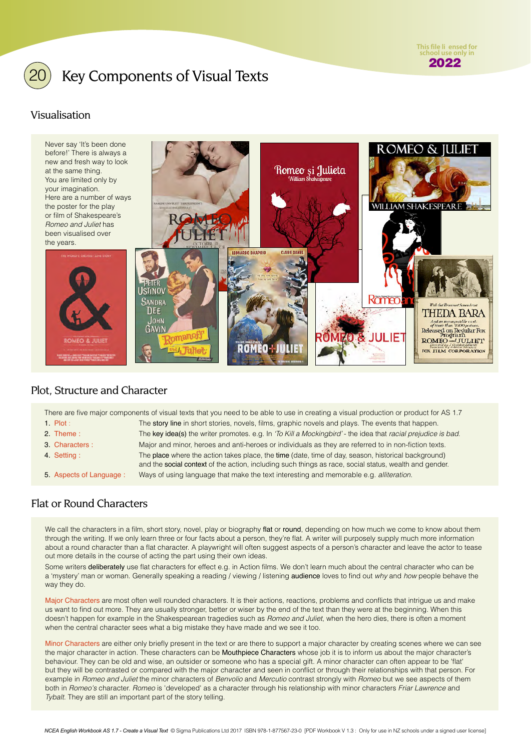

# <span id="page-4-0"></span>Key Components of Visual Texts

### Visualisation



### Plot, Structure and Character

There are five major components of visual texts that you need to be able to use in creating a visual production or product for AS 1.7 1. Plot : The story line in short stories, novels, films, graphic novels and plays. The events that happen. 2. Theme : The key idea(s) the writer promotes. e.g. In *'To Kill a Mockingbird'* - the idea that *racial prejudice is bad*. 3. Characters : Major and minor, heroes and anti-heroes or individuals as they are referred to in non-fiction texts. 4. Setting : The place where the action takes place, the time (date, time of day, season, historical background) and the social context of the action, including such things as race, social status, wealth and gender. 5. Aspects of Language : Ways of using language that make the text interesting and memorable e.g. *alliteration.*

### Flat or Round Characters

We call the characters in a film, short story, novel, play or biography flat or round, depending on how much we come to know about them through the writing. If we only learn three or four facts about a person, they're flat. A writer will purposely supply much more information about a round character than a flat character. A playwright will often suggest aspects of a person's character and leave the actor to tease out more details in the course of acting the part using their own ideas.

Some writers deliberately use flat characters for effect e.g. in Action films. We don't learn much about the central character who can be a 'mystery' man or woman. Generally speaking a reading / viewing / listening audience loves to find out *why* and *how* people behave the way they do.

Major Characters are most often well rounded characters. It is their actions, reactions, problems and conflicts that intrigue us and make us want to find out more. They are usually stronger, better or wiser by the end of the text than they were at the beginning. When this doesn't happen for example in the Shakespearean tragedies such as *Romeo and Juliet*, when the hero dies, there is often a moment when the central character sees what a big mistake they have made and we see it too.

Minor Characters are either only briefly present in the text or are there to support a major character by creating scenes where we can see the major character in action. These characters can be Mouthpiece Characters whose job it is to inform us about the major character's behaviour. They can be old and wise, an outsider or someone who has a special gift. A minor character can often appear to be 'flat' but they will be contrasted or compared with the major character and seen in conflict or through their relationships with that person. For example in *Romeo and Juliet* the minor characters of *Benvolio* and *Mercutio* contrast strongly with *Romeo* but we see aspects of them both in *Romeo's* character. *Romeo* is 'developed' as a character through his relationship with minor characters *Friar Lawrence* and *Tybalt*. They are still an important part of the story telling.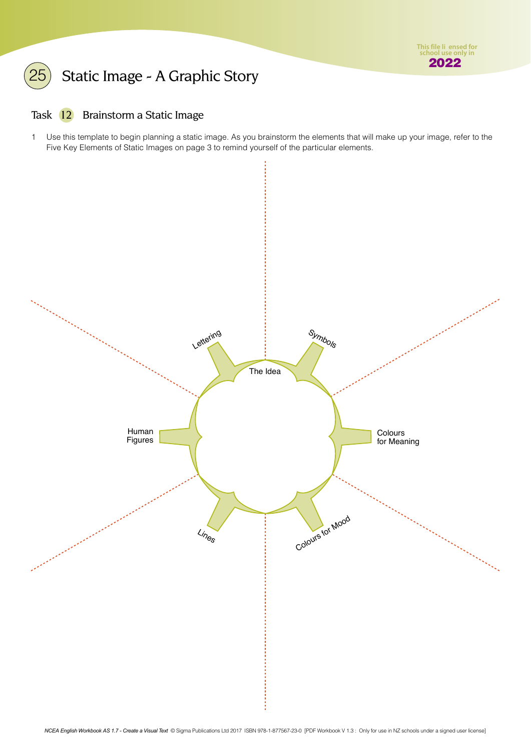# <span id="page-5-0"></span>Static Image - A Graphic Story

### Task 12 Brainstorm a Static Image

1 Use this template to begin planning a static image. As you brainstorm the elements that will make up your image, refer to the Five Key Elements of Static Images on page 3 to remind yourself of the particular elements.

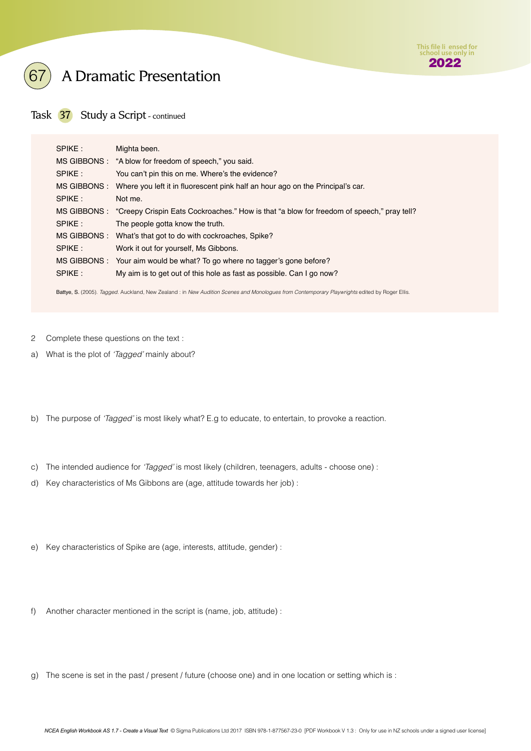

# 67 A Dramatic Presentation

Task 37 Study a Script - continued

| SPIKE: | Mighta been.                                                                                           |
|--------|--------------------------------------------------------------------------------------------------------|
|        | MS GIBBONS: "A blow for freedom of speech," you said.                                                  |
| SPIKE: | You can't pin this on me. Where's the evidence?                                                        |
|        | MS GIBBONS: Where you left it in fluorescent pink half an hour ago on the Principal's car.             |
| SPIKE: | Not me.                                                                                                |
|        | MS GIBBONS : "Creepy Crispin Eats Cockroaches." How is that "a blow for freedom of speech," pray tell? |
| SPIKE: | The people gotta know the truth.                                                                       |
|        | MS GIBBONS : What's that got to do with cockroaches, Spike?                                            |
| SPIKE: | Work it out for yourself, Ms Gibbons.                                                                  |
|        | MS GIBBONS : Your aim would be what? To go where no tagger's gone before?                              |
| SPIKE: | My aim is to get out of this hole as fast as possible. Can I go now?                                   |

Battye, S. (2005). *Tagged. Auckland, New Zealand : in New Audition Scenes and Monologues from Contemporary Playwrights edited by Roger Ellis.* 

- 2 Complete these questions on the text :
- a) What is the plot of *'Tagged'* mainly about?
- b) The purpose of *'Tagged'* is most likely what? E.g to educate, to entertain, to provoke a reaction.
- c) The intended audience for *'Tagged'* is most likely (children, teenagers, adults choose one) :
- d) Key characteristics of Ms Gibbons are (age, attitude towards her job) :
- e) Key characteristics of Spike are (age, interests, attitude, gender) :
- f) Another character mentioned in the script is (name, job, attitude) :
- g) The scene is set in the past / present / future (choose one) and in one location or setting which is :